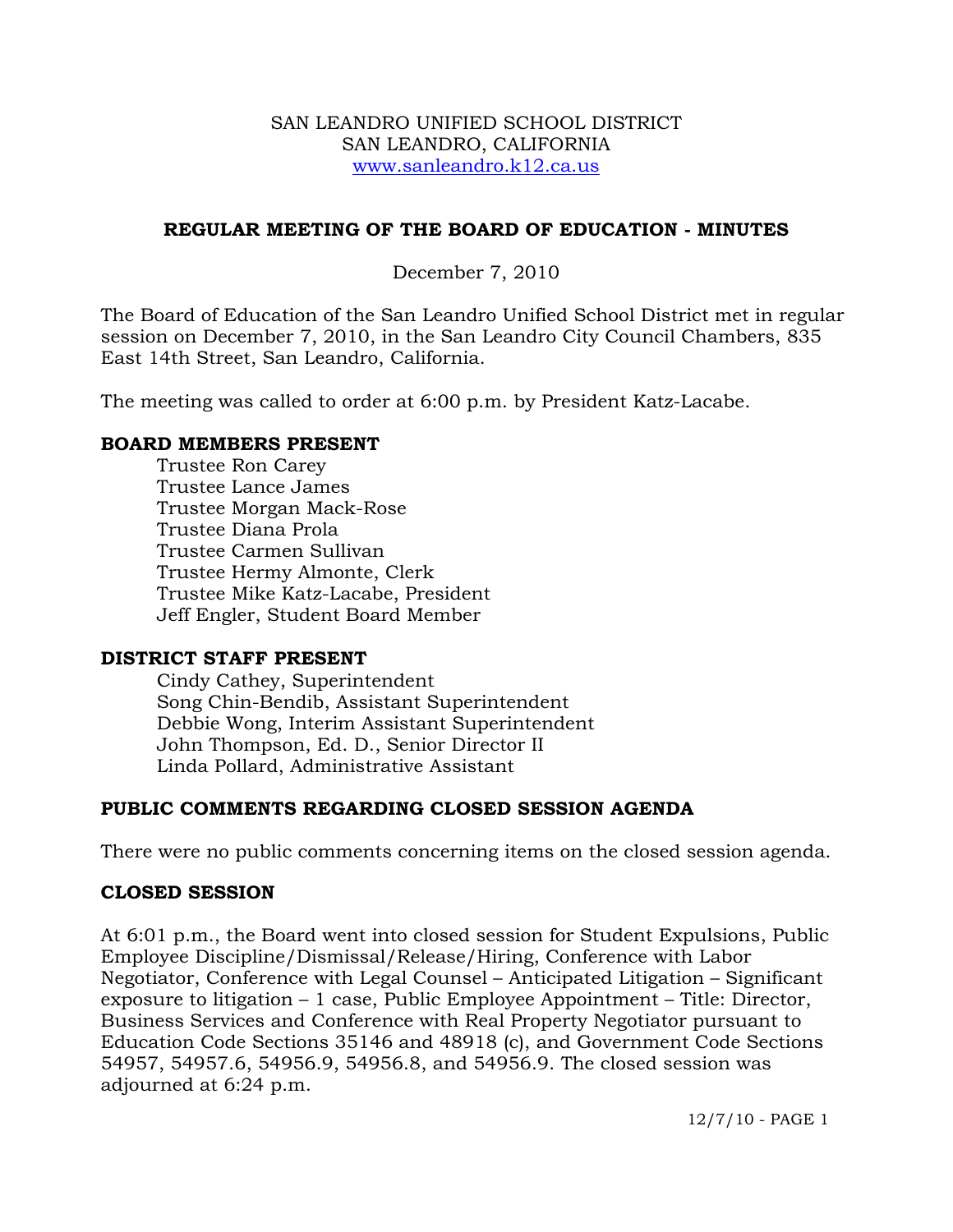#### SAN LEANDRO UNIFIED SCHOOL DISTRICT SAN LEANDRO, CALIFORNIA www.sanleandro.k12.ca.us

### **REGULAR MEETING OF THE BOARD OF EDUCATION - MINUTES**

## December 7, 2010

The Board of Education of the San Leandro Unified School District met in regular session on December 7, 2010, in the San Leandro City Council Chambers, 835 East 14th Street, San Leandro, California.

The meeting was called to order at 6:00 p.m. by President Katz-Lacabe.

#### **BOARD MEMBERS PRESENT**

Trustee Ron Carey Trustee Lance James Trustee Morgan Mack-Rose Trustee Diana Prola Trustee Carmen Sullivan Trustee Hermy Almonte, Clerk Trustee Mike Katz-Lacabe, President Jeff Engler, Student Board Member

### **DISTRICT STAFF PRESENT**

Cindy Cathey, Superintendent Song Chin-Bendib, Assistant Superintendent Debbie Wong, Interim Assistant Superintendent John Thompson, Ed. D., Senior Director II Linda Pollard, Administrative Assistant

### **PUBLIC COMMENTS REGARDING CLOSED SESSION AGENDA**

There were no public comments concerning items on the closed session agenda.

### **CLOSED SESSION**

At 6:01 p.m., the Board went into closed session for Student Expulsions, Public Employee Discipline/Dismissal/Release/Hiring, Conference with Labor Negotiator, Conference with Legal Counsel – Anticipated Litigation – Significant exposure to litigation – 1 case, Public Employee Appointment – Title: Director, Business Services and Conference with Real Property Negotiator pursuant to Education Code Sections 35146 and 48918 (c), and Government Code Sections 54957, 54957.6, 54956.9, 54956.8, and 54956.9. The closed session was adjourned at 6:24 p.m.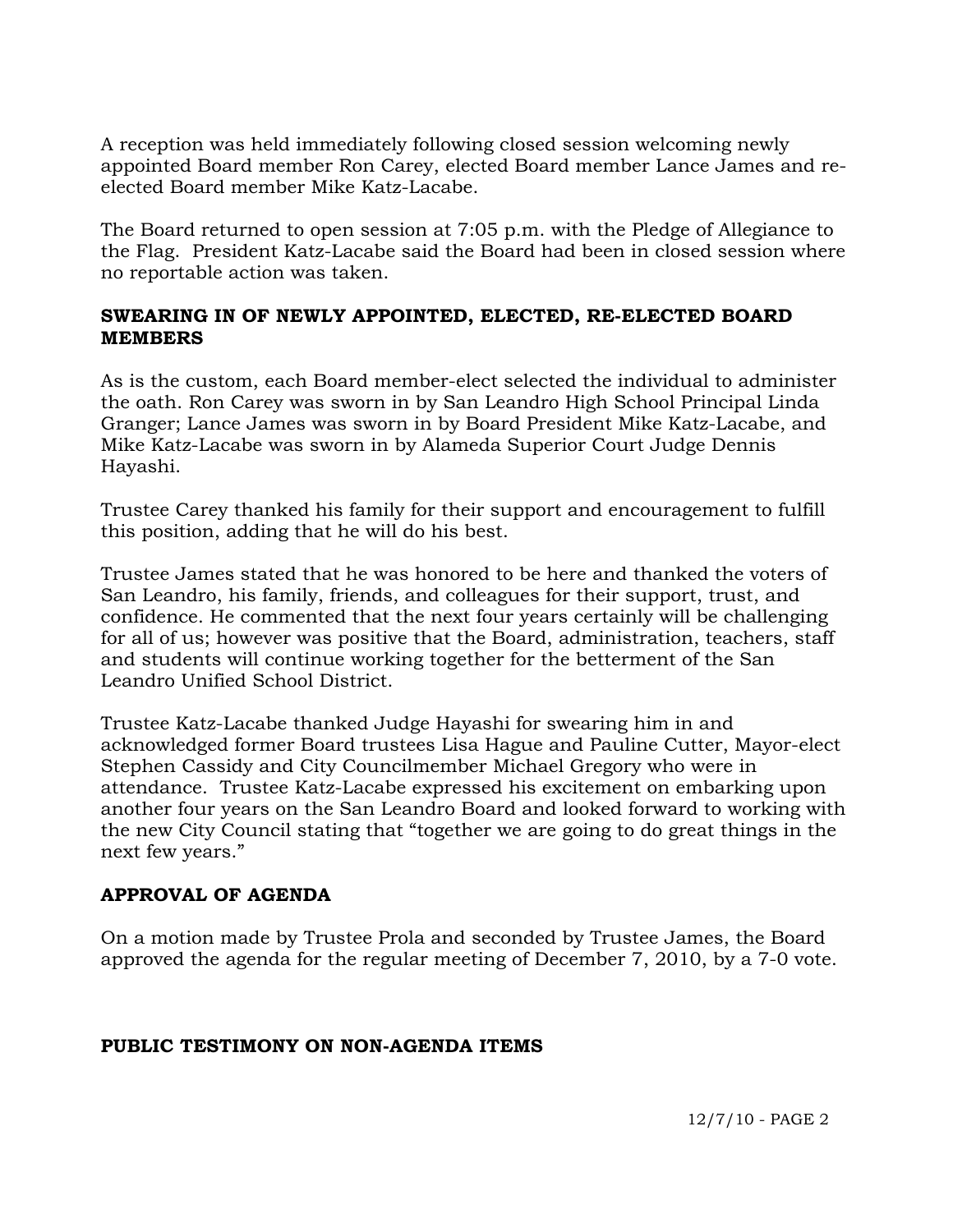A reception was held immediately following closed session welcoming newly appointed Board member Ron Carey, elected Board member Lance James and reelected Board member Mike Katz-Lacabe.

The Board returned to open session at 7:05 p.m. with the Pledge of Allegiance to the Flag. President Katz-Lacabe said the Board had been in closed session where no reportable action was taken.

### **SWEARING IN OF NEWLY APPOINTED, ELECTED, RE-ELECTED BOARD MEMBERS**

As is the custom, each Board member-elect selected the individual to administer the oath. Ron Carey was sworn in by San Leandro High School Principal Linda Granger; Lance James was sworn in by Board President Mike Katz-Lacabe, and Mike Katz-Lacabe was sworn in by Alameda Superior Court Judge Dennis Hayashi.

Trustee Carey thanked his family for their support and encouragement to fulfill this position, adding that he will do his best.

Trustee James stated that he was honored to be here and thanked the voters of San Leandro, his family, friends, and colleagues for their support, trust, and confidence. He commented that the next four years certainly will be challenging for all of us; however was positive that the Board, administration, teachers, staff and students will continue working together for the betterment of the San Leandro Unified School District.

Trustee Katz-Lacabe thanked Judge Hayashi for swearing him in and acknowledged former Board trustees Lisa Hague and Pauline Cutter, Mayor-elect Stephen Cassidy and City Councilmember Michael Gregory who were in attendance. Trustee Katz-Lacabe expressed his excitement on embarking upon another four years on the San Leandro Board and looked forward to working with the new City Council stating that "together we are going to do great things in the next few years."

### **APPROVAL OF AGENDA**

On a motion made by Trustee Prola and seconded by Trustee James, the Board approved the agenda for the regular meeting of December 7, 2010, by a 7-0 vote.

### **PUBLIC TESTIMONY ON NON-AGENDA ITEMS**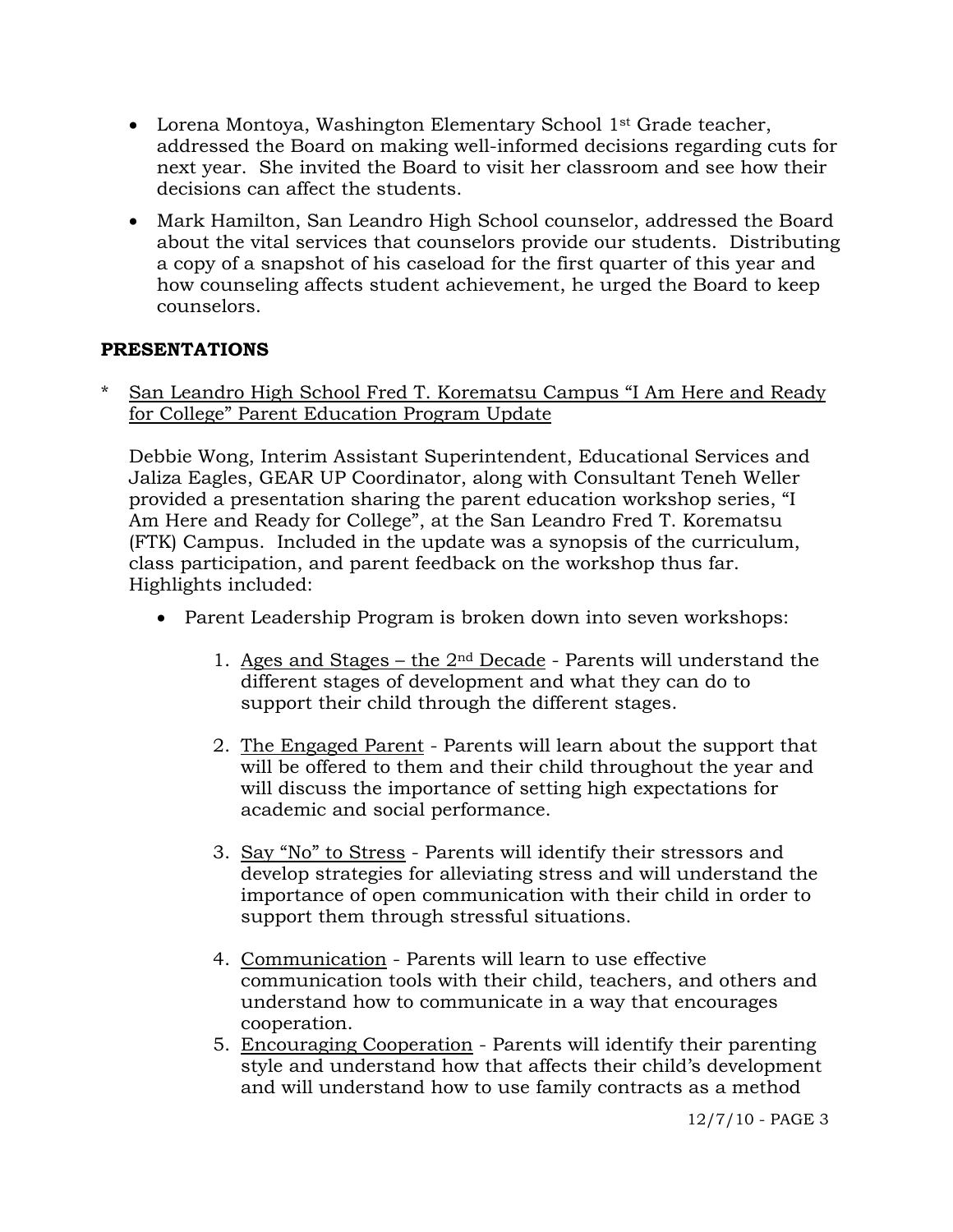- Lorena Montoya, Washington Elementary School 1<sup>st</sup> Grade teacher, addressed the Board on making well-informed decisions regarding cuts for next year. She invited the Board to visit her classroom and see how their decisions can affect the students.
- Mark Hamilton, San Leandro High School counselor, addressed the Board about the vital services that counselors provide our students. Distributing a copy of a snapshot of his caseload for the first quarter of this year and how counseling affects student achievement, he urged the Board to keep counselors.

### **PRESENTATIONS**

San Leandro High School Fred T. Korematsu Campus "I Am Here and Ready for College" Parent Education Program Update

 Debbie Wong, Interim Assistant Superintendent, Educational Services and Jaliza Eagles, GEAR UP Coordinator, along with Consultant Teneh Weller provided a presentation sharing the parent education workshop series, "I Am Here and Ready for College", at the San Leandro Fred T. Korematsu (FTK) Campus. Included in the update was a synopsis of the curriculum, class participation, and parent feedback on the workshop thus far. Highlights included:

- Parent Leadership Program is broken down into seven workshops:
	- 1. Ages and Stages the  $2<sup>nd</sup>$  Decade Parents will understand the different stages of development and what they can do to support their child through the different stages.
	- 2. The Engaged Parent Parents will learn about the support that will be offered to them and their child throughout the year and will discuss the importance of setting high expectations for academic and social performance.
	- 3. Say "No" to Stress Parents will identify their stressors and develop strategies for alleviating stress and will understand the importance of open communication with their child in order to support them through stressful situations.
	- 4. Communication Parents will learn to use effective communication tools with their child, teachers, and others and understand how to communicate in a way that encourages cooperation.
	- 5. Encouraging Cooperation Parents will identify their parenting style and understand how that affects their child's development and will understand how to use family contracts as a method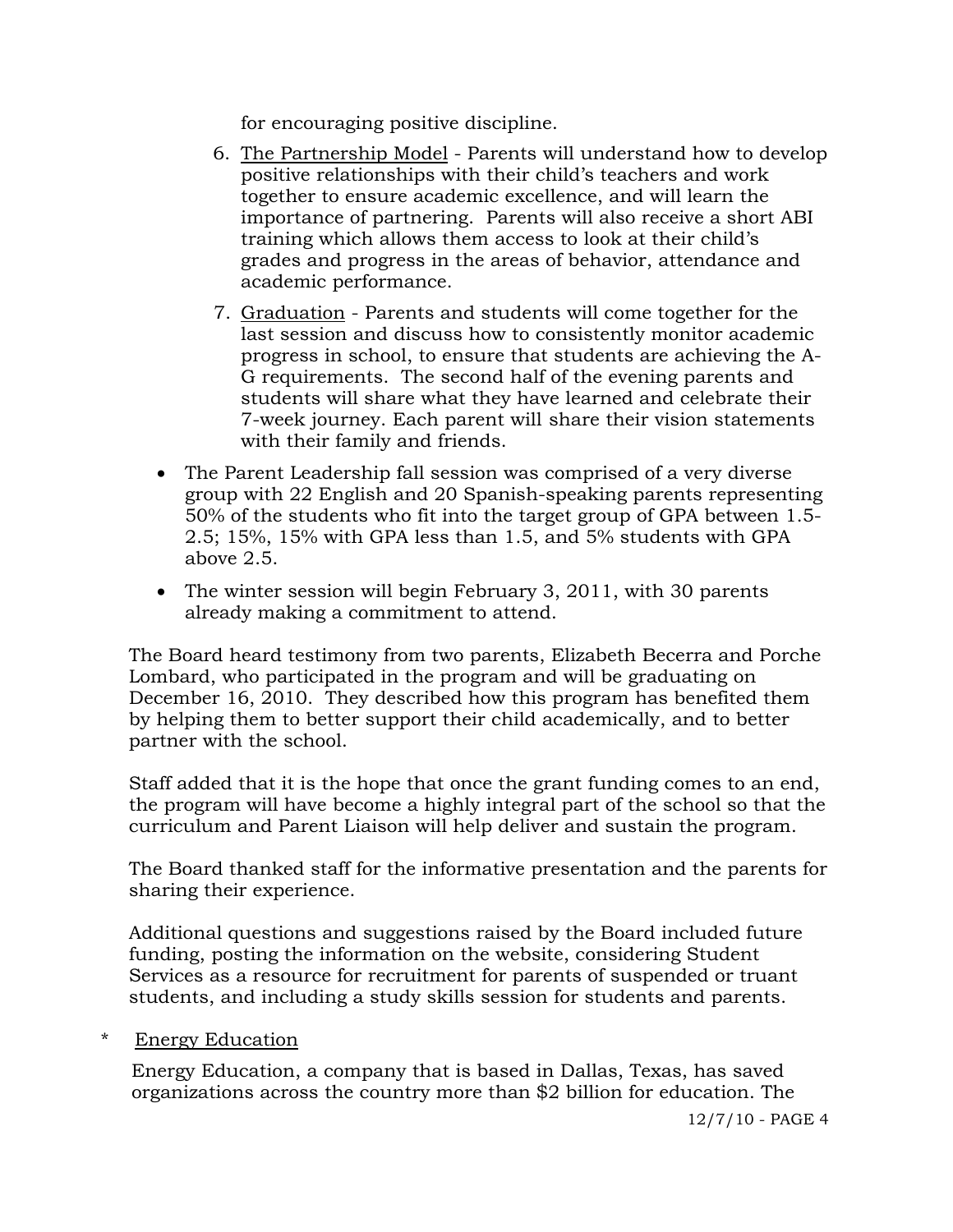for encouraging positive discipline.

- 6. The Partnership Model Parents will understand how to develop positive relationships with their child's teachers and work together to ensure academic excellence, and will learn the importance of partnering. Parents will also receive a short ABI training which allows them access to look at their child's grades and progress in the areas of behavior, attendance and academic performance.
- 7. Graduation Parents and students will come together for the last session and discuss how to consistently monitor academic progress in school, to ensure that students are achieving the A- G requirements. The second half of the evening parents and students will share what they have learned and celebrate their 7-week journey. Each parent will share their vision statements with their family and friends.
- The Parent Leadership fall session was comprised of a very diverse group with 22 English and 20 Spanish-speaking parents representing 50% of the students who fit into the target group of GPA between 1.5- 2.5; 15%, 15% with GPA less than 1.5, and 5% students with GPA above 2.5.
- The winter session will begin February 3, 2011, with 30 parents already making a commitment to attend.

The Board heard testimony from two parents, Elizabeth Becerra and Porche Lombard, who participated in the program and will be graduating on December 16, 2010. They described how this program has benefited them by helping them to better support their child academically, and to better partner with the school.

Staff added that it is the hope that once the grant funding comes to an end, the program will have become a highly integral part of the school so that the curriculum and Parent Liaison will help deliver and sustain the program.

The Board thanked staff for the informative presentation and the parents for sharing their experience.

 Additional questions and suggestions raised by the Board included future funding, posting the information on the website, considering Student Services as a resource for recruitment for parents of suspended or truant students, and including a study skills session for students and parents.

### \* Energy Education

 Energy Education, a company that is based in Dallas, Texas, has saved organizations across the country more than \$2 billion for education. The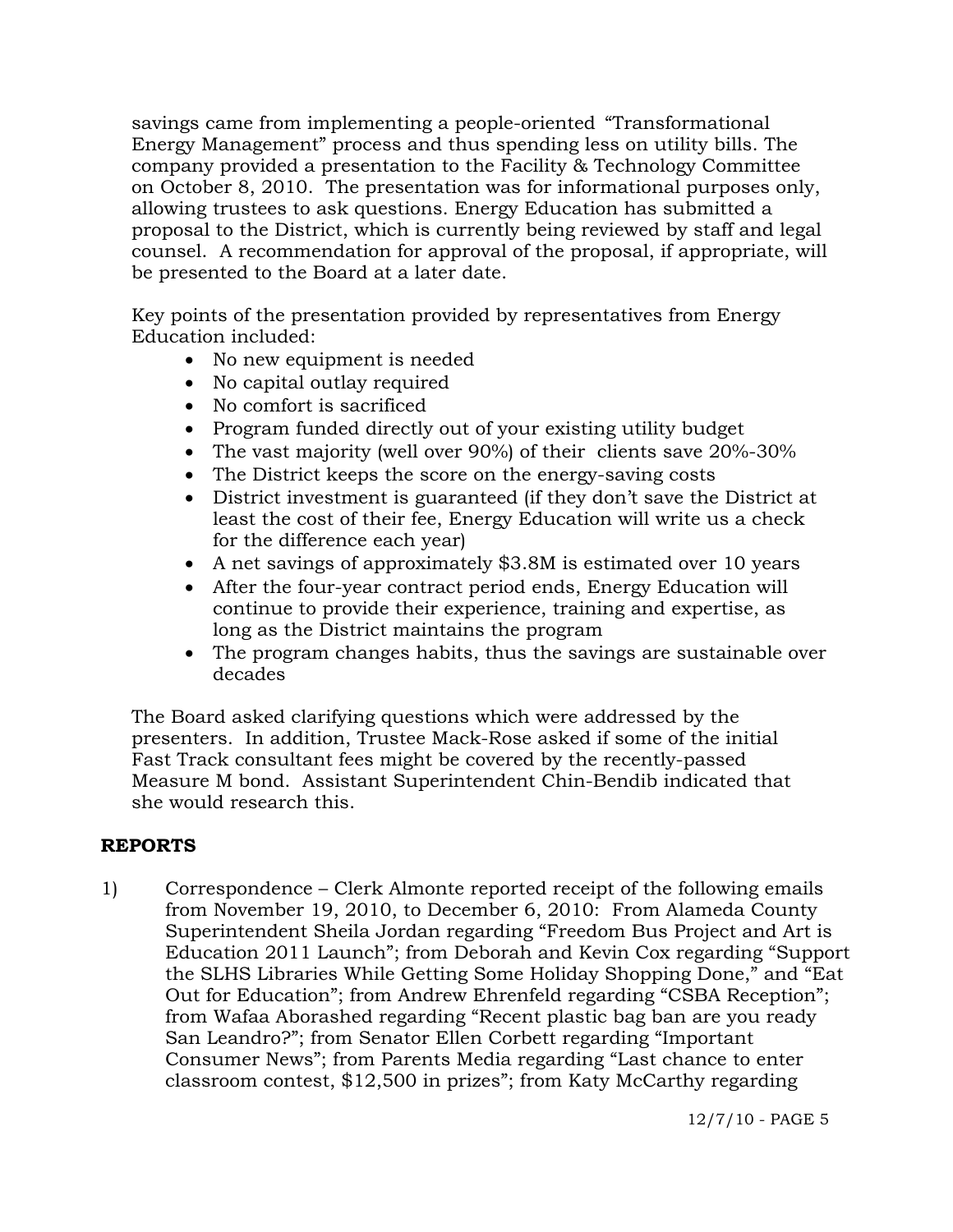savings came from implementing a people-oriented "Transformational Energy Management" process and thus spending less on utility bills. The company provided a presentation to the Facility & Technology Committee on October 8, 2010. The presentation was for informational purposes only, allowing trustees to ask questions. Energy Education has submitted a proposal to the District, which is currently being reviewed by staff and legal counsel. A recommendation for approval of the proposal, if appropriate, will be presented to the Board at a later date.

 Key points of the presentation provided by representatives from Energy Education included:

- No new equipment is needed
- No capital outlay required
- No comfort is sacrificed
- Program funded directly out of your existing utility budget
- The vast majority (well over 90%) of their clients save 20%-30%
- The District keeps the score on the energy-saving costs
- District investment is guaranteed (if they don't save the District at least the cost of their fee, Energy Education will write us a check for the difference each year)
- A net savings of approximately \$3.8M is estimated over 10 years
- After the four-year contract period ends, Energy Education will continue to provide their experience, training and expertise, as long as the District maintains the program
- The program changes habits, thus the savings are sustainable over decades

 The Board asked clarifying questions which were addressed by the presenters. In addition, Trustee Mack-Rose asked if some of the initial Fast Track consultant fees might be covered by the recently-passed Measure M bond. Assistant Superintendent Chin-Bendib indicated that she would research this.

# **REPORTS**

1) Correspondence – Clerk Almonte reported receipt of the following emails from November 19, 2010, to December 6, 2010: From Alameda County Superintendent Sheila Jordan regarding "Freedom Bus Project and Art is Education 2011 Launch"; from Deborah and Kevin Cox regarding "Support the SLHS Libraries While Getting Some Holiday Shopping Done," and "Eat Out for Education"; from Andrew Ehrenfeld regarding "CSBA Reception"; from Wafaa Aborashed regarding "Recent plastic bag ban are you ready San Leandro?"; from Senator Ellen Corbett regarding "Important Consumer News"; from Parents Media regarding "Last chance to enter classroom contest, \$12,500 in prizes"; from Katy McCarthy regarding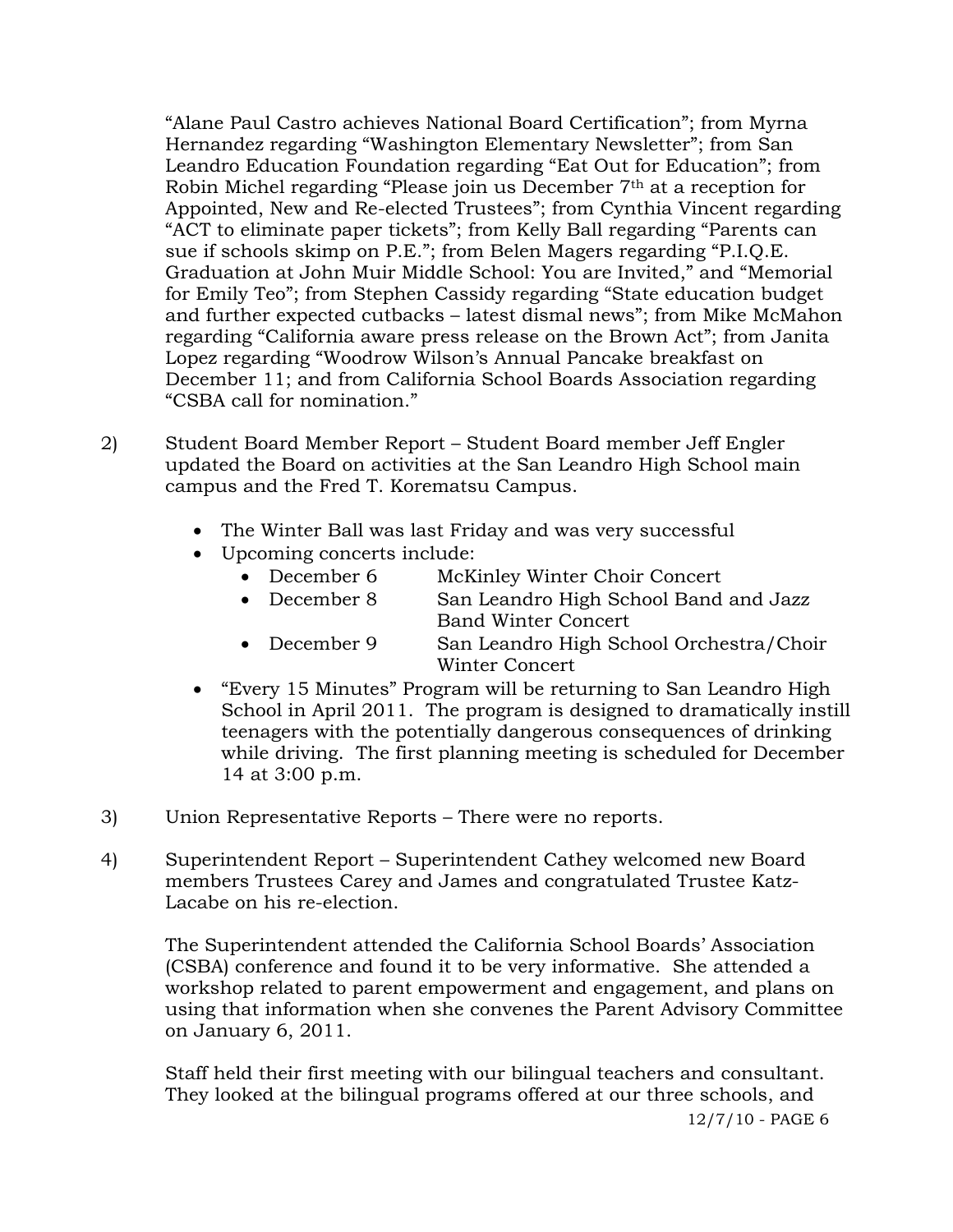"Alane Paul Castro achieves National Board Certification"; from Myrna Hernandez regarding "Washington Elementary Newsletter"; from San Leandro Education Foundation regarding "Eat Out for Education"; from Robin Michel regarding "Please join us December 7th at a reception for Appointed, New and Re-elected Trustees"; from Cynthia Vincent regarding "ACT to eliminate paper tickets"; from Kelly Ball regarding "Parents can sue if schools skimp on P.E."; from Belen Magers regarding "P.I.Q.E. Graduation at John Muir Middle School: You are Invited," and "Memorial for Emily Teo"; from Stephen Cassidy regarding "State education budget and further expected cutbacks – latest dismal news"; from Mike McMahon regarding "California aware press release on the Brown Act"; from Janita Lopez regarding "Woodrow Wilson's Annual Pancake breakfast on December 11; and from California School Boards Association regarding "CSBA call for nomination."

- 2) Student Board Member Report Student Board member Jeff Engler updated the Board on activities at the San Leandro High School main campus and the Fred T. Korematsu Campus.
	- The Winter Ball was last Friday and was very successful
	- Upcoming concerts include:
		- December 6 McKinley Winter Choir Concert
		- December 8 San Leandro High School Band and Jazz Band Winter Concert
		- December 9 San Leandro High School Orchestra/Choir Winter Concert
	- "Every 15 Minutes" Program will be returning to San Leandro High School in April 2011. The program is designed to dramatically instill teenagers with the potentially dangerous consequences of drinking while driving. The first planning meeting is scheduled for December 14 at 3:00 p.m.
- 3) Union Representative Reports There were no reports.
- 4) Superintendent Report Superintendent Cathey welcomed new Board members Trustees Carey and James and congratulated Trustee Katz-Lacabe on his re-election.

The Superintendent attended the California School Boards' Association (CSBA) conference and found it to be very informative. She attended a workshop related to parent empowerment and engagement, and plans on using that information when she convenes the Parent Advisory Committee on January 6, 2011.

Staff held their first meeting with our bilingual teachers and consultant. They looked at the bilingual programs offered at our three schools, and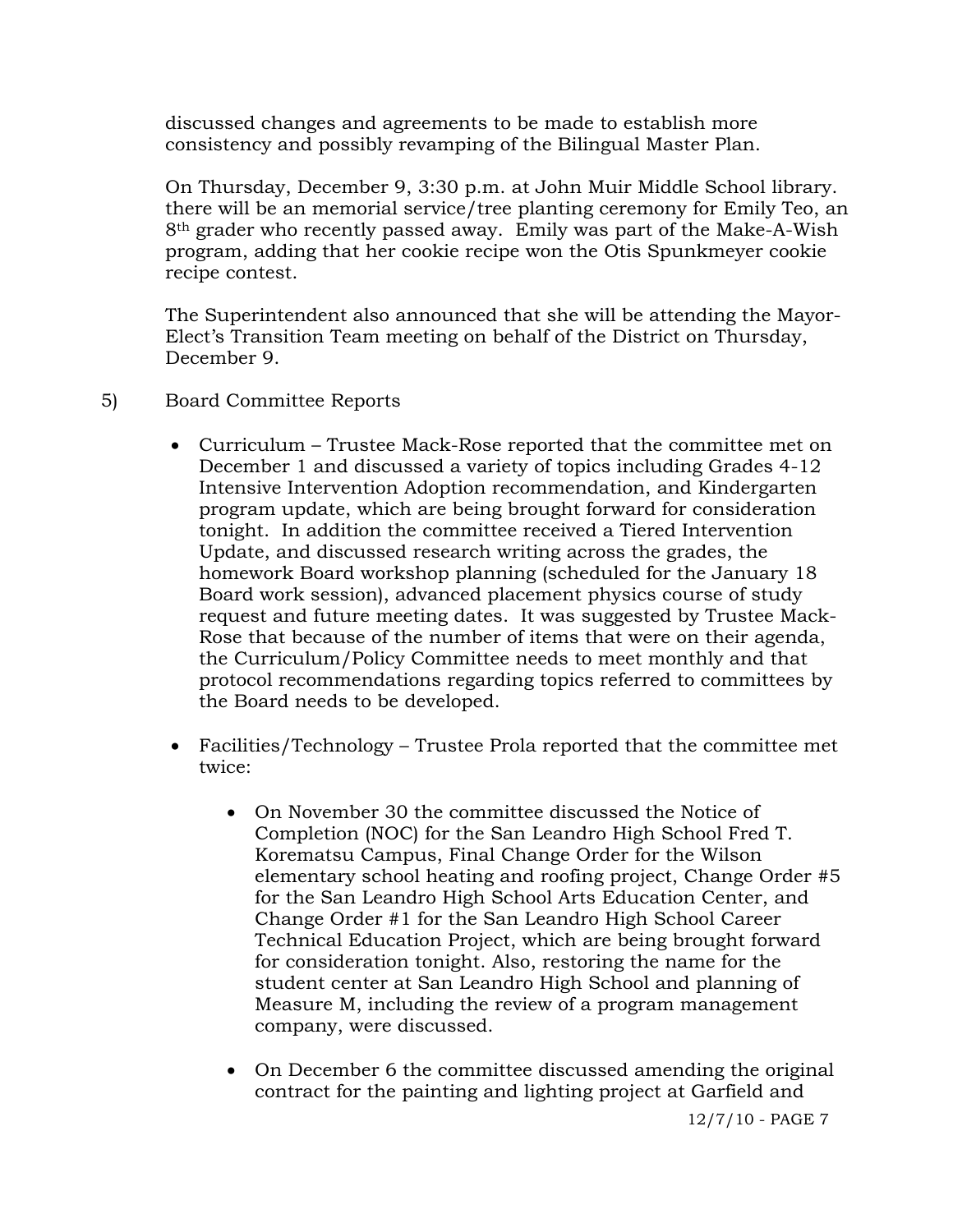discussed changes and agreements to be made to establish more consistency and possibly revamping of the Bilingual Master Plan.

On Thursday, December 9, 3:30 p.m. at John Muir Middle School library. there will be an memorial service/tree planting ceremony for Emily Teo, an 8th grader who recently passed away. Emily was part of the Make-A-Wish program, adding that her cookie recipe won the Otis Spunkmeyer cookie recipe contest.

The Superintendent also announced that she will be attending the Mayor-Elect's Transition Team meeting on behalf of the District on Thursday, December 9.

- 5) Board Committee Reports
	- Curriculum Trustee Mack-Rose reported that the committee met on December 1 and discussed a variety of topics including Grades 4-12 Intensive Intervention Adoption recommendation, and Kindergarten program update, which are being brought forward for consideration tonight. In addition the committee received a Tiered Intervention Update, and discussed research writing across the grades, the homework Board workshop planning (scheduled for the January 18 Board work session), advanced placement physics course of study request and future meeting dates. It was suggested by Trustee Mack-Rose that because of the number of items that were on their agenda, the Curriculum/Policy Committee needs to meet monthly and that protocol recommendations regarding topics referred to committees by the Board needs to be developed.
	- Facilities/Technology Trustee Prola reported that the committee met twice:
		- On November 30 the committee discussed the Notice of Completion (NOC) for the San Leandro High School Fred T. Korematsu Campus, Final Change Order for the Wilson elementary school heating and roofing project, Change Order #5 for the San Leandro High School Arts Education Center, and Change Order #1 for the San Leandro High School Career Technical Education Project, which are being brought forward for consideration tonight. Also, restoring the name for the student center at San Leandro High School and planning of Measure M, including the review of a program management company, were discussed.
		- On December 6 the committee discussed amending the original contract for the painting and lighting project at Garfield and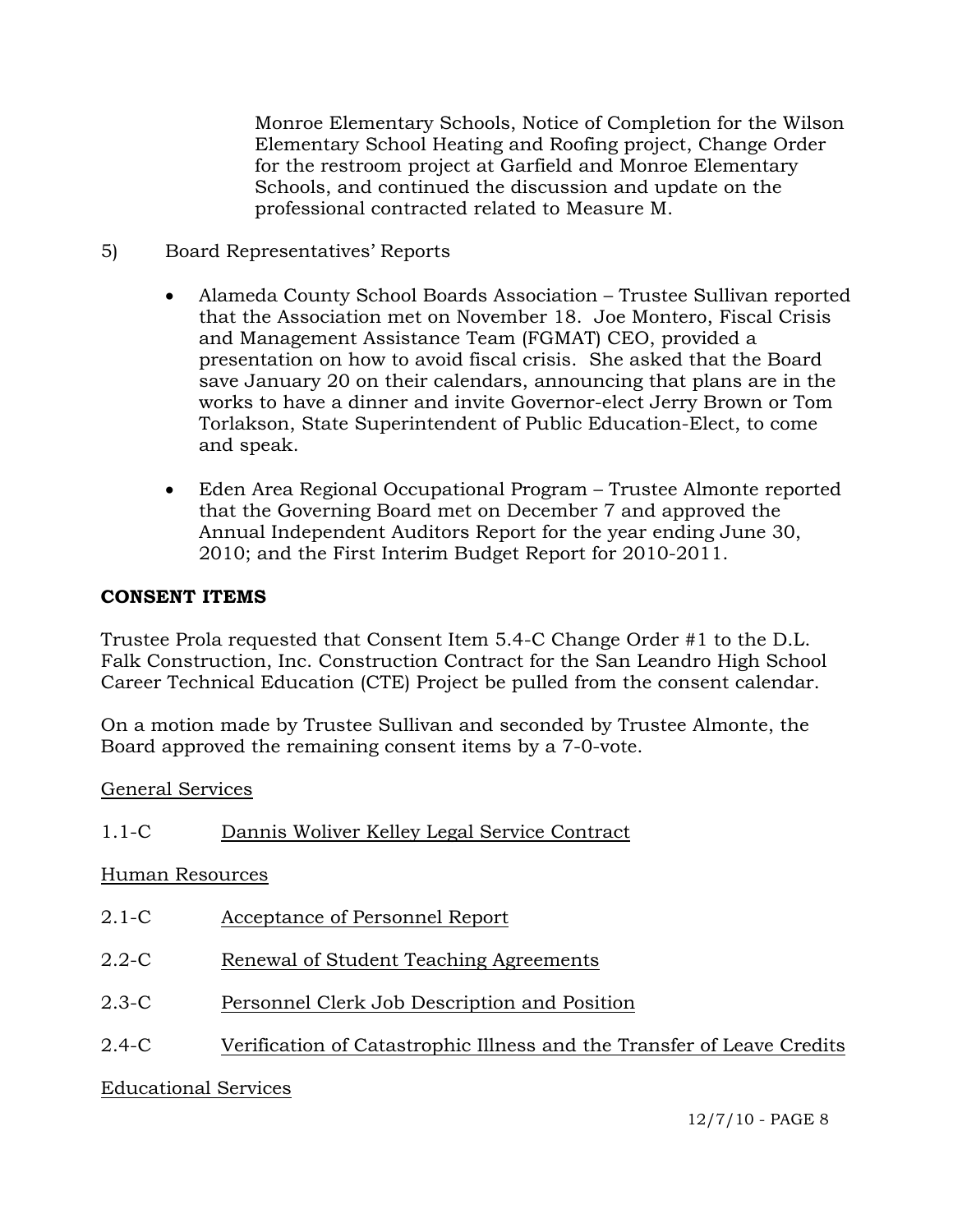Monroe Elementary Schools, Notice of Completion for the Wilson Elementary School Heating and Roofing project, Change Order for the restroom project at Garfield and Monroe Elementary Schools, and continued the discussion and update on the professional contracted related to Measure M.

- 5) Board Representatives' Reports
	- Alameda County School Boards Association Trustee Sullivan reported that the Association met on November 18. Joe Montero, Fiscal Crisis and Management Assistance Team (FGMAT) CEO, provided a presentation on how to avoid fiscal crisis. She asked that the Board save January 20 on their calendars, announcing that plans are in the works to have a dinner and invite Governor-elect Jerry Brown or Tom Torlakson, State Superintendent of Public Education-Elect, to come and speak.
	- Eden Area Regional Occupational Program Trustee Almonte reported that the Governing Board met on December 7 and approved the Annual Independent Auditors Report for the year ending June 30, 2010; and the First Interim Budget Report for 2010-2011.

# **CONSENT ITEMS**

Trustee Prola requested that Consent Item 5.4-C Change Order #1 to the D.L. Falk Construction, Inc. Construction Contract for the San Leandro High School Career Technical Education (CTE) Project be pulled from the consent calendar.

On a motion made by Trustee Sullivan and seconded by Trustee Almonte, the Board approved the remaining consent items by a 7-0-vote.

General Services

| $1.1-C$         | Dannis Woliver Kelley Legal Service Contract                           |
|-----------------|------------------------------------------------------------------------|
| Human Resources |                                                                        |
| $2.1-C$         | Acceptance of Personnel Report                                         |
| $2.2 - C$       | Renewal of Student Teaching Agreements                                 |
| $2.3-C$         | Personnel Clerk Job Description and Position                           |
| $2.4-C$         | Verification of Catastrophic Illness and the Transfer of Leave Credits |

# Educational Services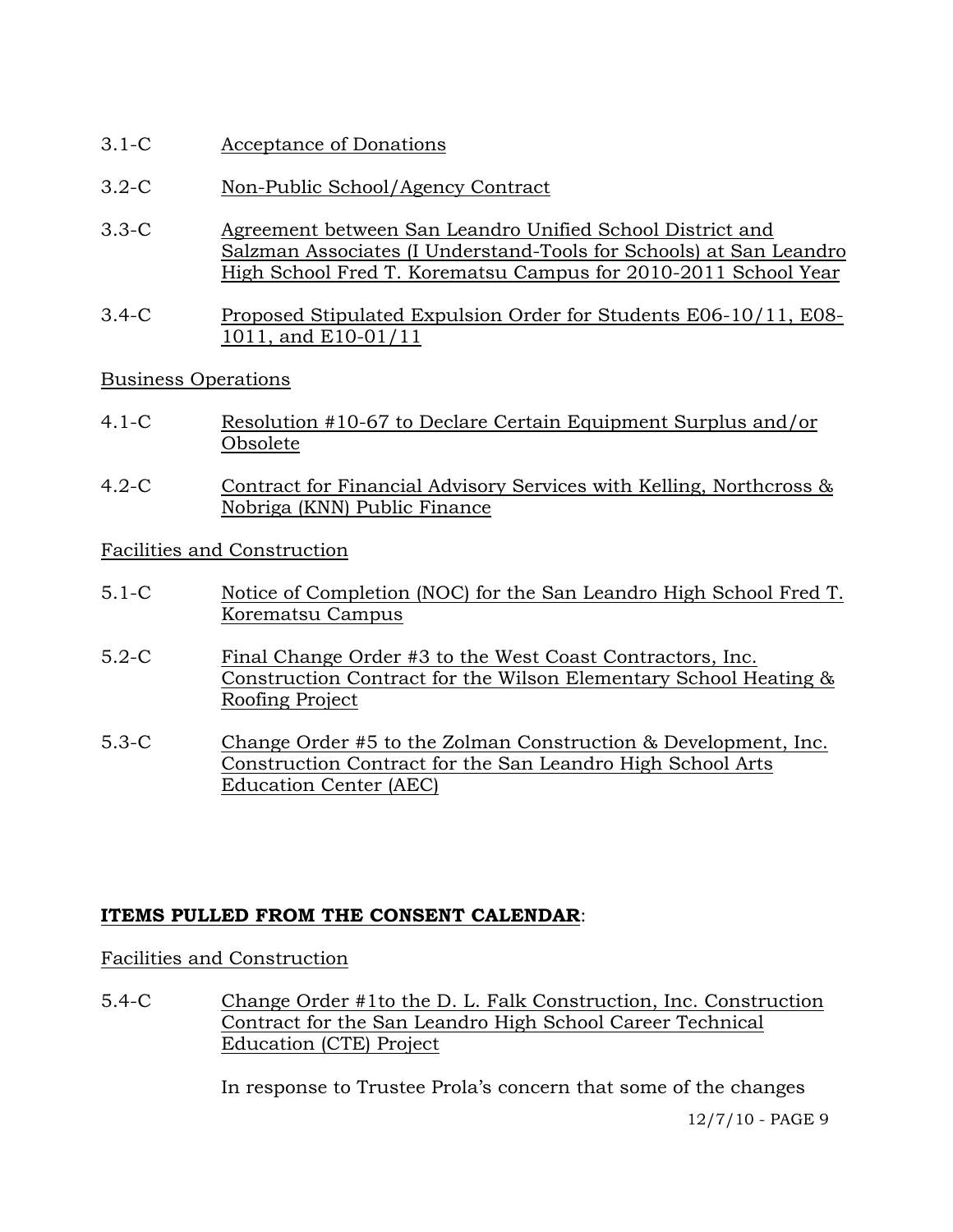- 3.1-C Acceptance of Donations
- 3.2-C Non-Public School/Agency Contract
- 3.3-C Agreement between San Leandro Unified School District and Salzman Associates (I Understand-Tools for Schools) at San Leandro High School Fred T. Korematsu Campus for 2010-2011 School Year
- 3.4-C Proposed Stipulated Expulsion Order for Students E06-10/11, E08- 1011, and E10-01/11

### Business Operations

- 4.1-C Resolution #10-67 to Declare Certain Equipment Surplus and/or Obsolete
- 4.2-C Contract for Financial Advisory Services with Kelling, Northcross & Nobriga (KNN) Public Finance

Facilities and Construction

- 5.1-C Notice of Completion (NOC) for the San Leandro High School Fred T. Korematsu Campus
- 5.2-C Final Change Order #3 to the West Coast Contractors, Inc. Construction Contract for the Wilson Elementary School Heating & Roofing Project
- 5.3-C Change Order #5 to the Zolman Construction & Development, Inc. Construction Contract for the San Leandro High School Arts Education Center (AEC)

### **ITEMS PULLED FROM THE CONSENT CALENDAR**:

### Facilities and Construction

5.4-C Change Order #1to the D. L. Falk Construction, Inc. Construction Contract for the San Leandro High School Career Technical Education (CTE) Project

In response to Trustee Prola's concern that some of the changes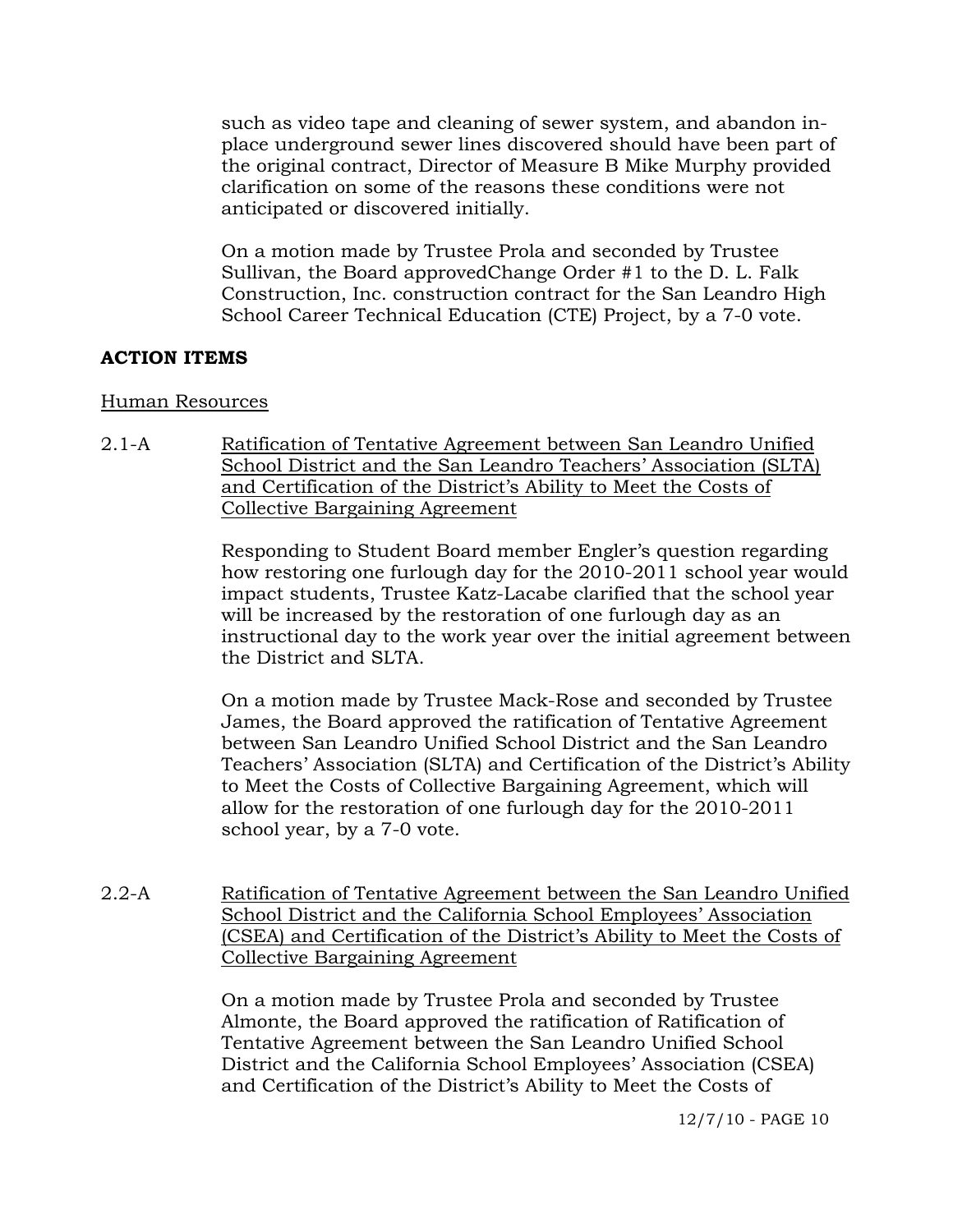such as video tape and cleaning of sewer system, and abandon inplace underground sewer lines discovered should have been part of the original contract, Director of Measure B Mike Murphy provided clarification on some of the reasons these conditions were not anticipated or discovered initially.

On a motion made by Trustee Prola and seconded by Trustee Sullivan, the Board approvedChange Order #1 to the D. L. Falk Construction, Inc. construction contract for the San Leandro High School Career Technical Education (CTE) Project, by a 7-0 vote.

# **ACTION ITEMS**

#### Human Resources

2.1-A Ratification of Tentative Agreement between San Leandro Unified School District and the San Leandro Teachers' Association (SLTA) and Certification of the District's Ability to Meet the Costs of Collective Bargaining Agreement

> Responding to Student Board member Engler's question regarding how restoring one furlough day for the 2010-2011 school year would impact students, Trustee Katz-Lacabe clarified that the school year will be increased by the restoration of one furlough day as an instructional day to the work year over the initial agreement between the District and SLTA.

> On a motion made by Trustee Mack-Rose and seconded by Trustee James, the Board approved the ratification of Tentative Agreement between San Leandro Unified School District and the San Leandro Teachers' Association (SLTA) and Certification of the District's Ability to Meet the Costs of Collective Bargaining Agreement, which will allow for the restoration of one furlough day for the 2010-2011 school year, by a 7-0 vote.

2.2-A Ratification of Tentative Agreement between the San Leandro Unified School District and the California School Employees' Association (CSEA) and Certification of the District's Ability to Meet the Costs of Collective Bargaining Agreement

> On a motion made by Trustee Prola and seconded by Trustee Almonte, the Board approved the ratification of Ratification of Tentative Agreement between the San Leandro Unified School District and the California School Employees' Association (CSEA) and Certification of the District's Ability to Meet the Costs of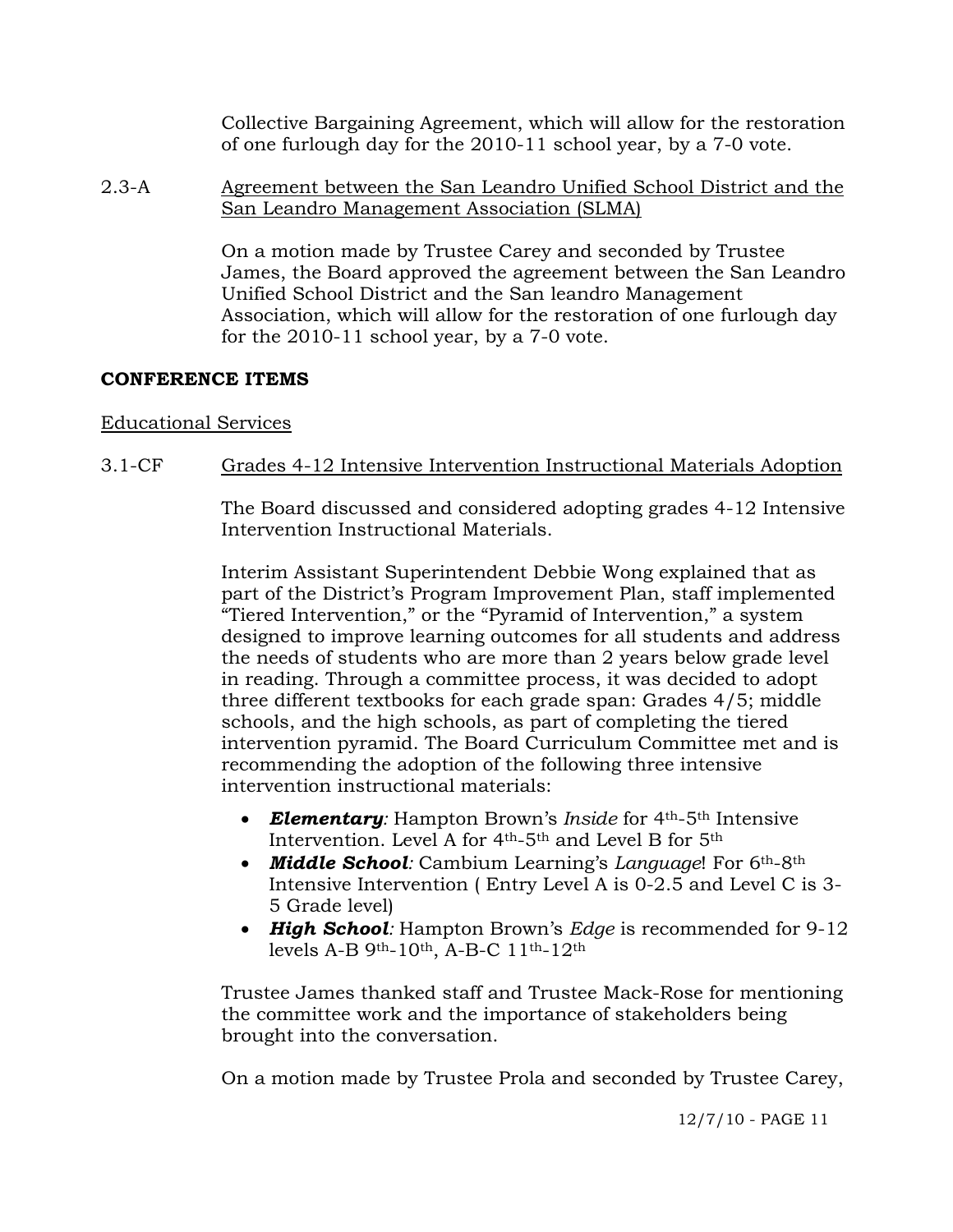Collective Bargaining Agreement, which will allow for the restoration of one furlough day for the 2010-11 school year, by a 7-0 vote.

2.3-A Agreement between the San Leandro Unified School District and the San Leandro Management Association (SLMA)

> On a motion made by Trustee Carey and seconded by Trustee James, the Board approved the agreement between the San Leandro Unified School District and the San leandro Management Association, which will allow for the restoration of one furlough day for the 2010-11 school year, by a 7-0 vote.

### **CONFERENCE ITEMS**

### Educational Services

# 3.1-CF Grades 4-12 Intensive Intervention Instructional Materials Adoption

The Board discussed and considered adopting grades 4-12 Intensive Intervention Instructional Materials.

Interim Assistant Superintendent Debbie Wong explained that as part of the District's Program Improvement Plan, staff implemented "Tiered Intervention," or the "Pyramid of Intervention," a system designed to improve learning outcomes for all students and address the needs of students who are more than 2 years below grade level in reading. Through a committee process, it was decided to adopt three different textbooks for each grade span: Grades 4/5; middle schools, and the high schools, as part of completing the tiered intervention pyramid. The Board Curriculum Committee met and is recommending the adoption of the following three intensive intervention instructional materials:

- *Elementary:* Hampton Brown's *Inside* for 4th-5th Intensive Intervention. Level A for 4th-5th and Level B for 5th
- *Middle School:* Cambium Learning's *Language*! For 6th-8th Intensive Intervention ( Entry Level A is 0-2.5 and Level C is 3- 5 Grade level)
- *High School:* Hampton Brown's *Edge* is recommended for 9-12 levels A-B 9th-10th, A-B-C 11th-12th

Trustee James thanked staff and Trustee Mack-Rose for mentioning the committee work and the importance of stakeholders being brought into the conversation.

On a motion made by Trustee Prola and seconded by Trustee Carey,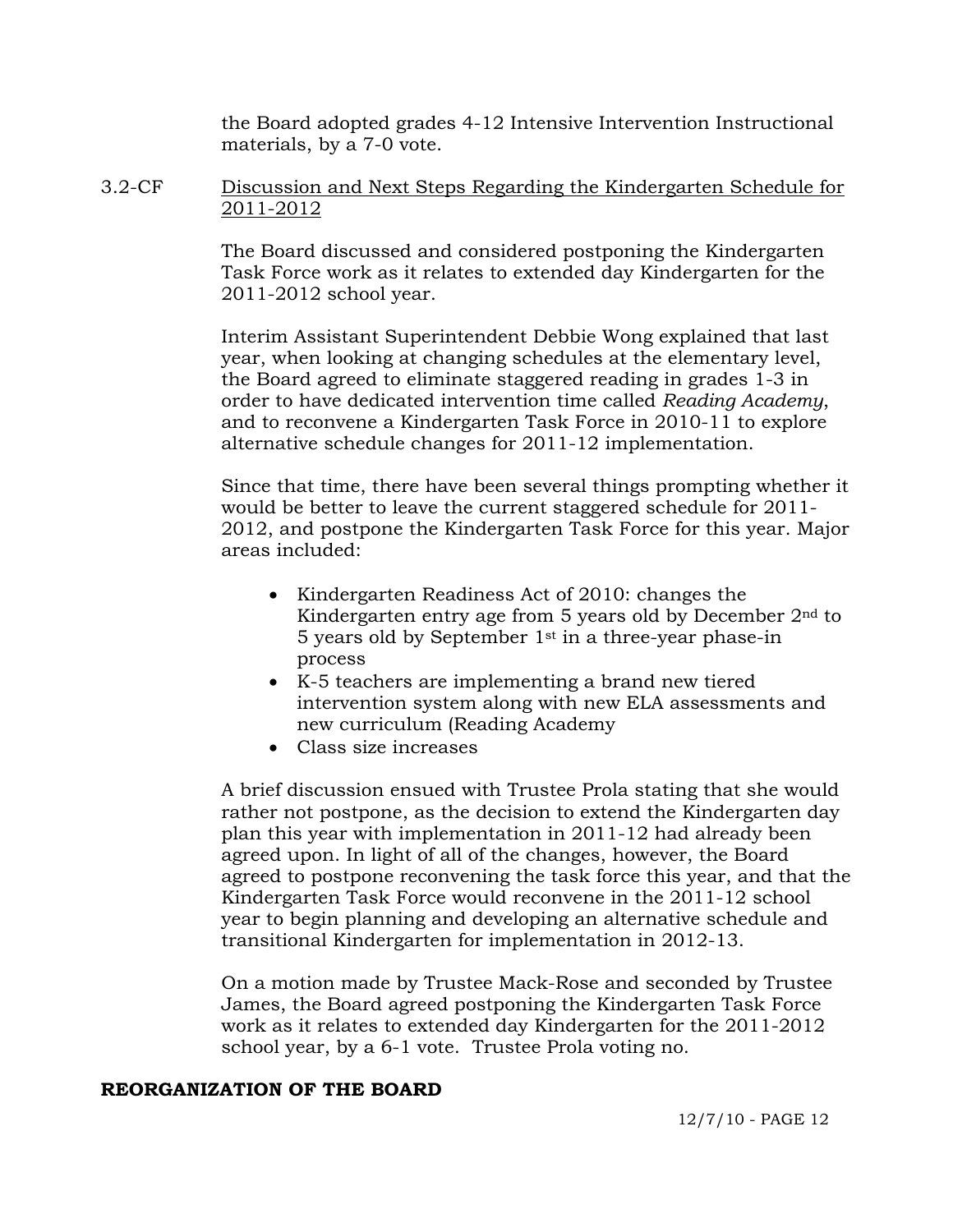the Board adopted grades 4-12 Intensive Intervention Instructional materials, by a 7-0 vote.

3.2-CF Discussion and Next Steps Regarding the Kindergarten Schedule for 2011-2012

> The Board discussed and considered postponing the Kindergarten Task Force work as it relates to extended day Kindergarten for the 2011-2012 school year.

> Interim Assistant Superintendent Debbie Wong explained that last year, when looking at changing schedules at the elementary level, the Board agreed to eliminate staggered reading in grades 1-3 in order to have dedicated intervention time called *Reading Academy*, and to reconvene a Kindergarten Task Force in 2010-11 to explore alternative schedule changes for 2011-12 implementation.

Since that time, there have been several things prompting whether it would be better to leave the current staggered schedule for 2011- 2012, and postpone the Kindergarten Task Force for this year. Major areas included:

- Kindergarten Readiness Act of 2010: changes the Kindergarten entry age from 5 years old by December 2nd to 5 years old by September 1st in a three-year phase-in process
- K-5 teachers are implementing a brand new tiered intervention system along with new ELA assessments and new curriculum (Reading Academy
- Class size increases

A brief discussion ensued with Trustee Prola stating that she would rather not postpone, as the decision to extend the Kindergarten day plan this year with implementation in 2011-12 had already been agreed upon. In light of all of the changes, however, the Board agreed to postpone reconvening the task force this year, and that the Kindergarten Task Force would reconvene in the 2011-12 school year to begin planning and developing an alternative schedule and transitional Kindergarten for implementation in 2012-13.

On a motion made by Trustee Mack-Rose and seconded by Trustee James, the Board agreed postponing the Kindergarten Task Force work as it relates to extended day Kindergarten for the 2011-2012 school year, by a 6-1 vote. Trustee Prola voting no.

### **REORGANIZATION OF THE BOARD**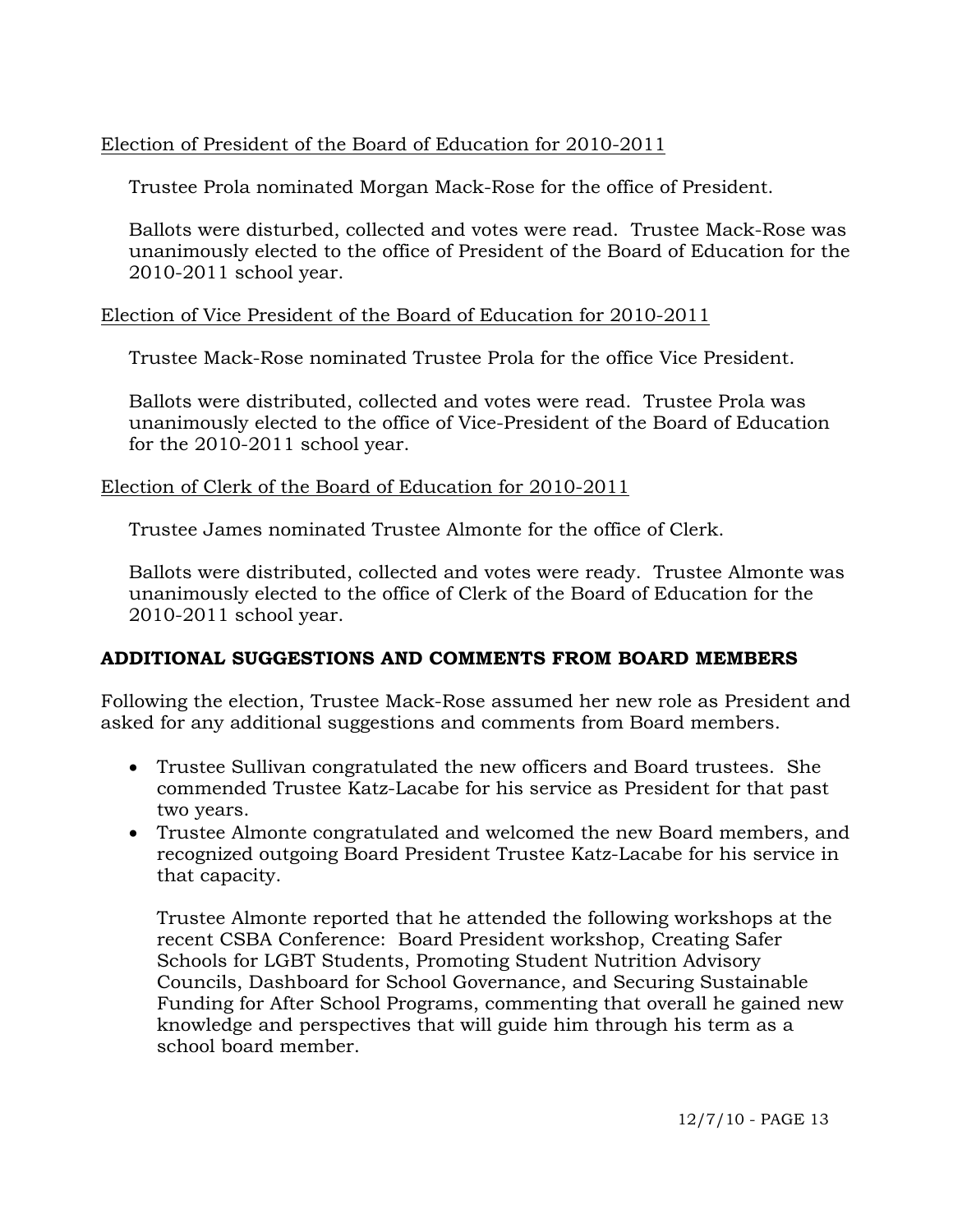# Election of President of the Board of Education for 2010-2011

Trustee Prola nominated Morgan Mack-Rose for the office of President.

Ballots were disturbed, collected and votes were read. Trustee Mack-Rose was unanimously elected to the office of President of the Board of Education for the 2010-2011 school year.

### Election of Vice President of the Board of Education for 2010-2011

Trustee Mack-Rose nominated Trustee Prola for the office Vice President.

Ballots were distributed, collected and votes were read. Trustee Prola was unanimously elected to the office of Vice-President of the Board of Education for the 2010-2011 school year.

### Election of Clerk of the Board of Education for 2010-2011

Trustee James nominated Trustee Almonte for the office of Clerk.

Ballots were distributed, collected and votes were ready. Trustee Almonte was unanimously elected to the office of Clerk of the Board of Education for the 2010-2011 school year.

### **ADDITIONAL SUGGESTIONS AND COMMENTS FROM BOARD MEMBERS**

Following the election, Trustee Mack-Rose assumed her new role as President and asked for any additional suggestions and comments from Board members.

- Trustee Sullivan congratulated the new officers and Board trustees. She commended Trustee Katz-Lacabe for his service as President for that past two years.
- Trustee Almonte congratulated and welcomed the new Board members, and recognized outgoing Board President Trustee Katz-Lacabe for his service in that capacity.

Trustee Almonte reported that he attended the following workshops at the recent CSBA Conference: Board President workshop, Creating Safer Schools for LGBT Students, Promoting Student Nutrition Advisory Councils, Dashboard for School Governance, and Securing Sustainable Funding for After School Programs, commenting that overall he gained new knowledge and perspectives that will guide him through his term as a school board member.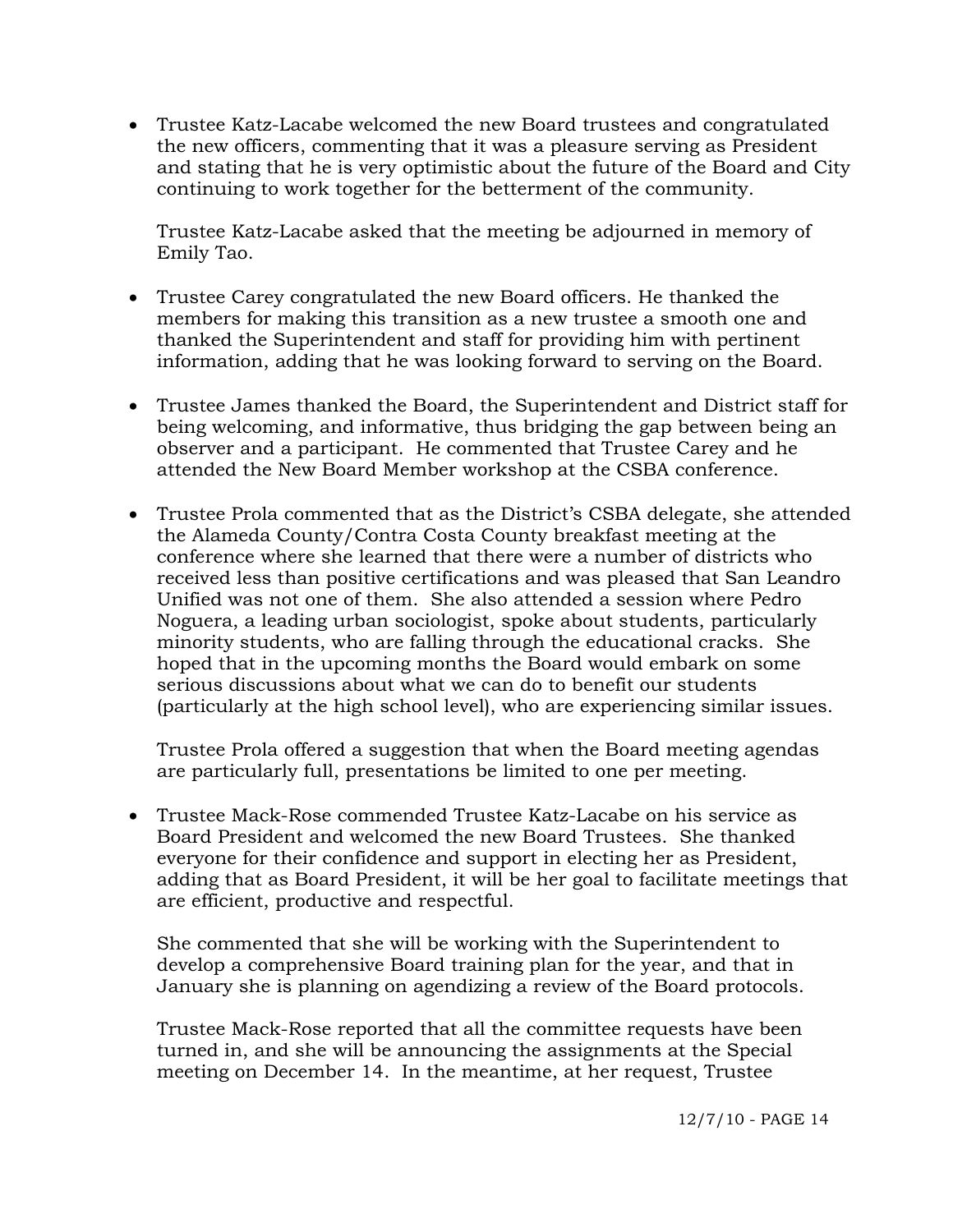Trustee Katz-Lacabe welcomed the new Board trustees and congratulated the new officers, commenting that it was a pleasure serving as President and stating that he is very optimistic about the future of the Board and City continuing to work together for the betterment of the community.

Trustee Katz-Lacabe asked that the meeting be adjourned in memory of Emily Tao.

- Trustee Carey congratulated the new Board officers. He thanked the members for making this transition as a new trustee a smooth one and thanked the Superintendent and staff for providing him with pertinent information, adding that he was looking forward to serving on the Board.
- Trustee James thanked the Board, the Superintendent and District staff for being welcoming, and informative, thus bridging the gap between being an observer and a participant. He commented that Trustee Carey and he attended the New Board Member workshop at the CSBA conference.
- Trustee Prola commented that as the District's CSBA delegate, she attended the Alameda County/Contra Costa County breakfast meeting at the conference where she learned that there were a number of districts who received less than positive certifications and was pleased that San Leandro Unified was not one of them. She also attended a session where Pedro Noguera, a leading urban sociologist, spoke about students, particularly minority students, who are falling through the educational cracks. She hoped that in the upcoming months the Board would embark on some serious discussions about what we can do to benefit our students (particularly at the high school level), who are experiencing similar issues.

Trustee Prola offered a suggestion that when the Board meeting agendas are particularly full, presentations be limited to one per meeting.

 Trustee Mack-Rose commended Trustee Katz-Lacabe on his service as Board President and welcomed the new Board Trustees. She thanked everyone for their confidence and support in electing her as President, adding that as Board President, it will be her goal to facilitate meetings that are efficient, productive and respectful.

She commented that she will be working with the Superintendent to develop a comprehensive Board training plan for the year, and that in January she is planning on agendizing a review of the Board protocols.

Trustee Mack-Rose reported that all the committee requests have been turned in, and she will be announcing the assignments at the Special meeting on December 14. In the meantime, at her request, Trustee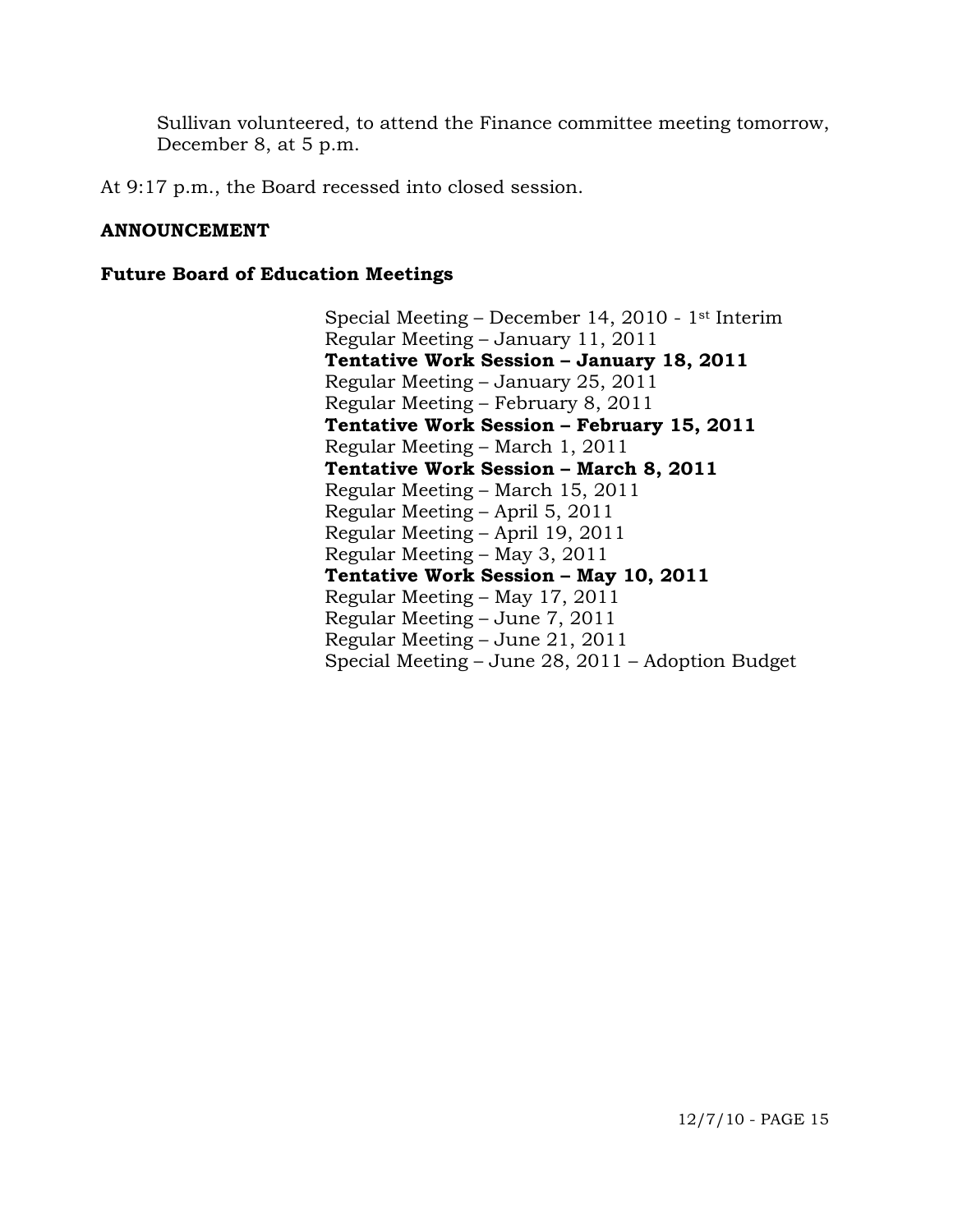Sullivan volunteered, to attend the Finance committee meeting tomorrow, December 8, at 5 p.m.

At 9:17 p.m., the Board recessed into closed session.

### **ANNOUNCEMENT**

#### **Future Board of Education Meetings**

Special Meeting – December 14, 2010 - 1st Interim Regular Meeting – January 11, 2011  **Tentative Work Session – January 18, 2011**  Regular Meeting – January 25, 2011 Regular Meeting – February 8, 2011  **Tentative Work Session – February 15, 2011**  Regular Meeting – March 1, 2011  **Tentative Work Session – March 8, 2011**  Regular Meeting – March 15, 2011 Regular Meeting – April 5, 2011 Regular Meeting – April 19, 2011 Regular Meeting – May 3, 2011  **Tentative Work Session – May 10, 2011**  Regular Meeting – May 17, 2011 Regular Meeting – June 7, 2011 Regular Meeting – June 21, 2011 Special Meeting – June 28, 2011 – Adoption Budget